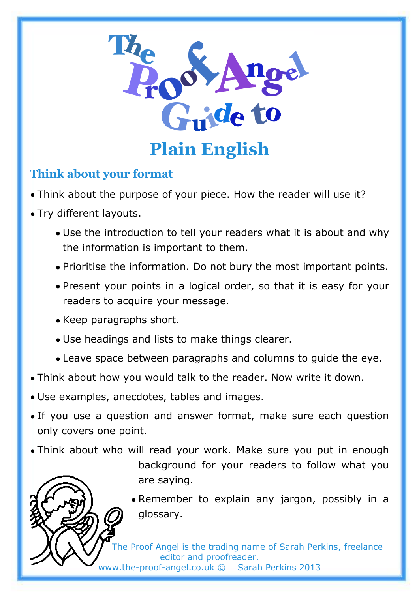

## **Think about your format**

- Think about the purpose of your piece. How the reader will use it?
- Try different layouts.
	- Use the introduction to tell your readers what it is about and why the information is important to them.
	- Prioritise the information. Do not bury the most important points.
	- Present your points in a logical order, so that it is easy for your readers to acquire your message.
	- Keep paragraphs short.
	- Use headings and lists to make things clearer.
	- Leave space between paragraphs and columns to guide the eye.
- Think about how you would talk to the reader. Now write it down.
- Use examples, anecdotes, tables and images.
- If you use a question and answer format, make sure each question only covers one point.
- Think about who will read your work. Make sure you put in enough background for your readers to follow what you are saying.
	- Remember to explain any jargon, possibly in a glossary.

The Proof Angel is the trading name of Sarah Perkins, freelance editor and proofreader.

[www.the-proof-angel.co.uk](http://www.the-proof-angel.co.uk/) © Sarah Perkins 2013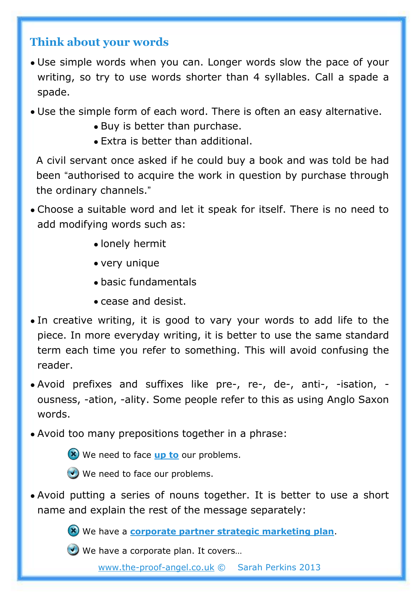## **Think about your words**

- Use simple words when you can. Longer words slow the pace of your writing, so try to use words shorter than 4 syllables. Call a spade a spade.
- Use the simple form of each word. There is often an easy alternative.
	- Buy is better than purchase.
	- Extra is better than additional.

A civil servant once asked if he could buy a book and was told be had been "authorised to acquire the work in question by purchase through the ordinary channels."

- Choose a suitable word and let it speak for itself. There is no need to add modifying words such as:
	- lonely hermit
	- very unique
	- basic fundamentals
	- cease and desist.
- In creative writing, it is good to vary your words to add life to the piece. In more everyday writing, it is better to use the same standard term each time you refer to something. This will avoid confusing the reader.
- Avoid prefixes and suffixes like pre-, re-, de-, anti-, -isation, ousness, -ation, -ality. Some people refer to this as using Anglo Saxon words.
- Avoid too many prepositions together in a phrase:
	- We need to face **up to** our problems.
	- We need to face our problems.
- Avoid putting a series of nouns together. It is better to use a short name and explain the rest of the message separately:

We have a **corporate partner strategic marketing plan**.



We have a corporate plan. It covers...

[www.the-proof-angel.co.uk](http://www.the-proof-angel.co.uk/) © Sarah Perkins 2013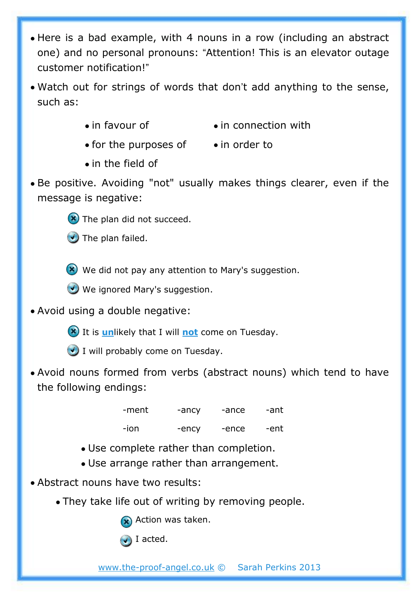- Here is a bad example, with 4 nouns in a row (including an abstract one) and no personal pronouns: "Attention! This is an elevator outage customer notification!"
- Watch out for strings of words that don't add anything to the sense, such as:
	- in favour of **•** in connection with
	- for the purposes of in order to
	- in the field of
- Be positive. Avoiding "not" usually makes things clearer, even if the message is negative:



The plan failed.

We did not pay any attention to Mary's suggestion.

- We ignored Mary's suggestion.
- Avoid using a double negative:
	- **(x)** It is *un*likely that I will not come on Tuesday.
	- $\bigcup$  I will probably come on Tuesday.
- Avoid nouns formed from verbs (abstract nouns) which tend to have the following endings:

-ment -ancy -ance -ant -ion -ency -ence -ent

- Use complete rather than completion.
- Use arrange rather than arrangement.
- Abstract nouns have two results:
	- They take life out of writing by removing people.

Action was taken.

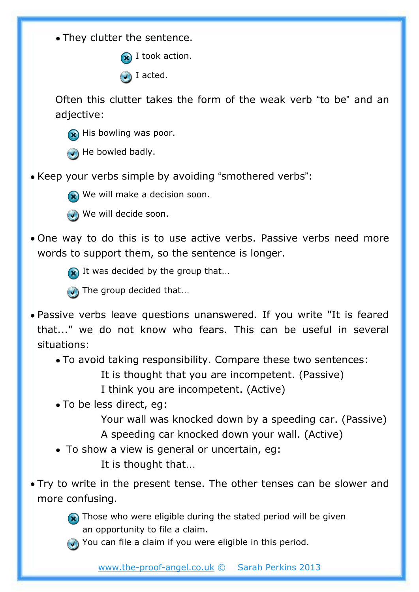• They clutter the sentence.

 $\bigcirc$  I took action.

**J** I acted.

Often this clutter takes the form of the weak verb "to be" and an adjective:

- **R** His bowling was poor.
- $\bigodot$  He bowled badly.
- Keep your verbs simple by avoiding "smothered verbs":



We will make a decision soon.

We will decide soon.

• One way to do this is to use active verbs. Passive verbs need more words to support them, so the sentence is longer.



- The group decided that...
- Passive verbs leave questions unanswered. If you write "It is feared that..." we do not know who fears. This can be useful in several situations:
	- To avoid taking responsibility. Compare these two sentences: It is thought that you are incompetent. (Passive)
		- I think you are incompetent. (Active)
	- To be less direct, eg:
		- Your wall was knocked down by a speeding car. (Passive) A speeding car knocked down your wall. (Active)
	- To show a view is general or uncertain, eg:
		- It is thought that…
- Try to write in the present tense. The other tenses can be slower and more confusing.



- $\left( \right)$  Those who were eligible during the stated period will be given an opportunity to file a claim.
- $\bigodot$  You can file a claim if you were eligible in this period.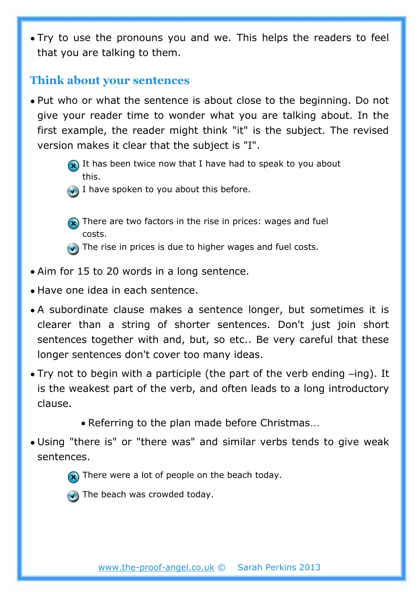• Try to use the pronouns you and we. This helps the readers to feel that you are talking to them.

## **Think about your sentences**

- Put who or what the sentence is about close to the beginning. Do not give your reader time to wonder what you are talking about. In the first example, the reader might think "it" is the subject. The revised version makes it clear that the subject is "I".
	- $\bigotimes$  It has been twice now that I have had to speak to you about this.
	- $\bigcup$  I have spoken to you about this before.
	-
	- **R**) There are two factors in the rise in prices: wages and fuel costs.
	- $\bigodot$  The rise in prices is due to higher wages and fuel costs.
- Aim for 15 to 20 words in a long sentence.
- Have one idea in each sentence.
- A subordinate clause makes a sentence longer, but sometimes it is clearer than a string of shorter sentences. Don't just join short sentences together with and, but, so etc.. Be very careful that these longer sentences don't cover too many ideas.
- Try not to begin with a participle (the part of the verb ending –ing). It is the weakest part of the verb, and often leads to a long introductory clause.
	- Referring to the plan made before Christmas…
- Using "there is" or "there was" and similar verbs tends to give weak sentences.





 $\bigodot$  The beach was crowded today.